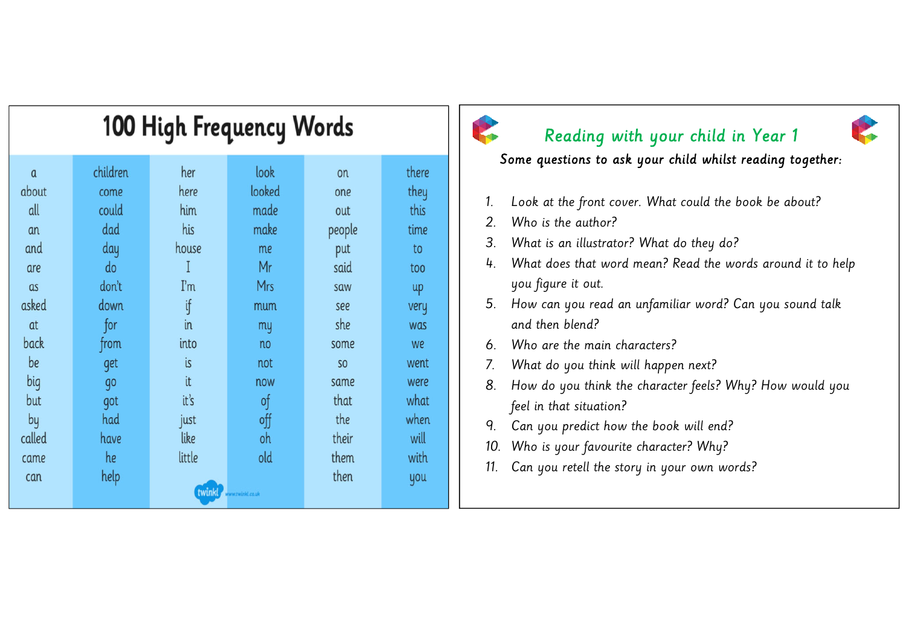| <b>100 High Frequency Words</b> |          |        |        |                |       |
|---------------------------------|----------|--------|--------|----------------|-------|
| $\alpha$                        | children | her    | look   | on             | there |
| about                           | come     | here   | looked | one            | they  |
| all                             | could    | him    | made   | out            | this  |
| an                              | dad      | his    | make   | people         | time  |
| and                             | day      | house  | me     | put            | to    |
| are                             | do       | I      | Mr     | said           | too   |
| as                              | don't    | ľm     | Mrs    | saw            | up    |
| asked                           | down     | ij     | mum    | see            | very  |
| at                              | for      | in     | my     | she            | was   |
| back                            | from     | into   | no     | some           | we    |
| be                              | get      | is     | not    | S <sub>O</sub> | went  |
| big                             | qo       | it     | now    | same           | were  |
| but                             | got      | it's   | of     | that           | what  |
| by                              | had      | just   | off    | the            | when  |
| called                          | have     | like   | oh     | their          | will  |
| came                            | he       | little | old    | them           | with  |
| can                             | help     |        |        | then           | you   |
| twinkl<br>ww.twinkl.co.uk       |          |        |        |                |       |

# Reading with your child in Year 1

Some questions to ask your child whilst reading together:

- 1. Look at the front cover. What could the book be about?
- 2. Who is the author?
- 3. What is an illustrator? What do they do?
- 4. What does that word mean? Read the words around it to help you figure it out.
- 5. How can you read an unfamiliar word? Can you sound talk and then blend?
- 6. Who are the main characters?
- 7. What do you think will happen next?
- 8. How do you think the character feels? Why? How would you feel in that situation?
- 9. Can you predict how the book will end?
- 10. Who is your favourite character? Why?
- 11. Can you retell the story in your own words?